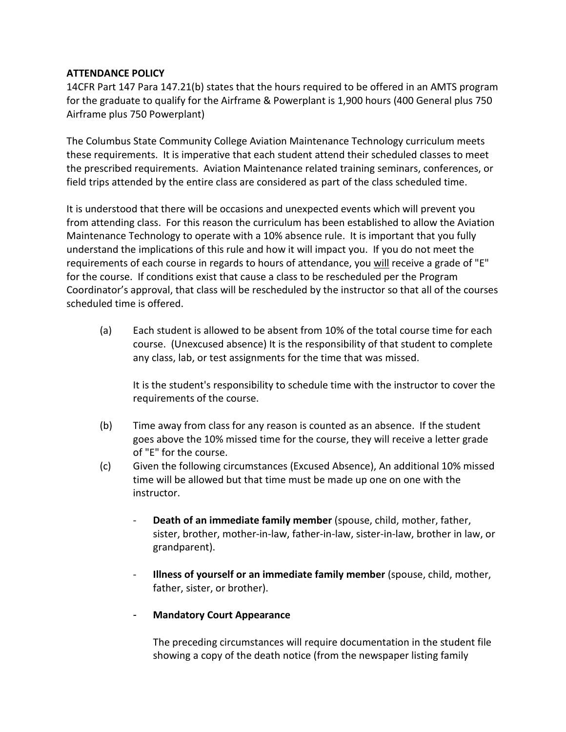## **ATTENDANCE POLICY**

14CFR Part 147 Para 147.21(b) states that the hours required to be offered in an AMTS program for the graduate to qualify for the Airframe & Powerplant is 1,900 hours (400 General plus 750 Airframe plus 750 Powerplant)

The Columbus State Community College Aviation Maintenance Technology curriculum meets these requirements. It is imperative that each student attend their scheduled classes to meet the prescribed requirements. Aviation Maintenance related training seminars, conferences, or field trips attended by the entire class are considered as part of the class scheduled time.

It is understood that there will be occasions and unexpected events which will prevent you from attending class. For this reason the curriculum has been established to allow the Aviation Maintenance Technology to operate with a 10% absence rule. It is important that you fully understand the implications of this rule and how it will impact you. If you do not meet the requirements of each course in regards to hours of attendance, you will receive a grade of "E" for the course. If conditions exist that cause a class to be rescheduled per the Program Coordinator's approval, that class will be rescheduled by the instructor so that all of the courses scheduled time is offered.

(a) Each student is allowed to be absent from 10% of the total course time for each course. (Unexcused absence) It is the responsibility of that student to complete any class, lab, or test assignments for the time that was missed.

It is the student's responsibility to schedule time with the instructor to cover the requirements of the course.

- (b) Time away from class for any reason is counted as an absence. If the student goes above the 10% missed time for the course, they will receive a letter grade of "E" for the course.
- (c) Given the following circumstances (Excused Absence), An additional 10% missed time will be allowed but that time must be made up one on one with the instructor.
	- **Death of an immediate family member** (spouse, child, mother, father, sister, brother, mother-in-law, father-in-law, sister-in-law, brother in law, or grandparent).
	- **Illness of yourself or an immediate family member** (spouse, child, mother, father, sister, or brother).
	- **Mandatory Court Appearance**

The preceding circumstances will require documentation in the student file showing a copy of the death notice (from the newspaper listing family